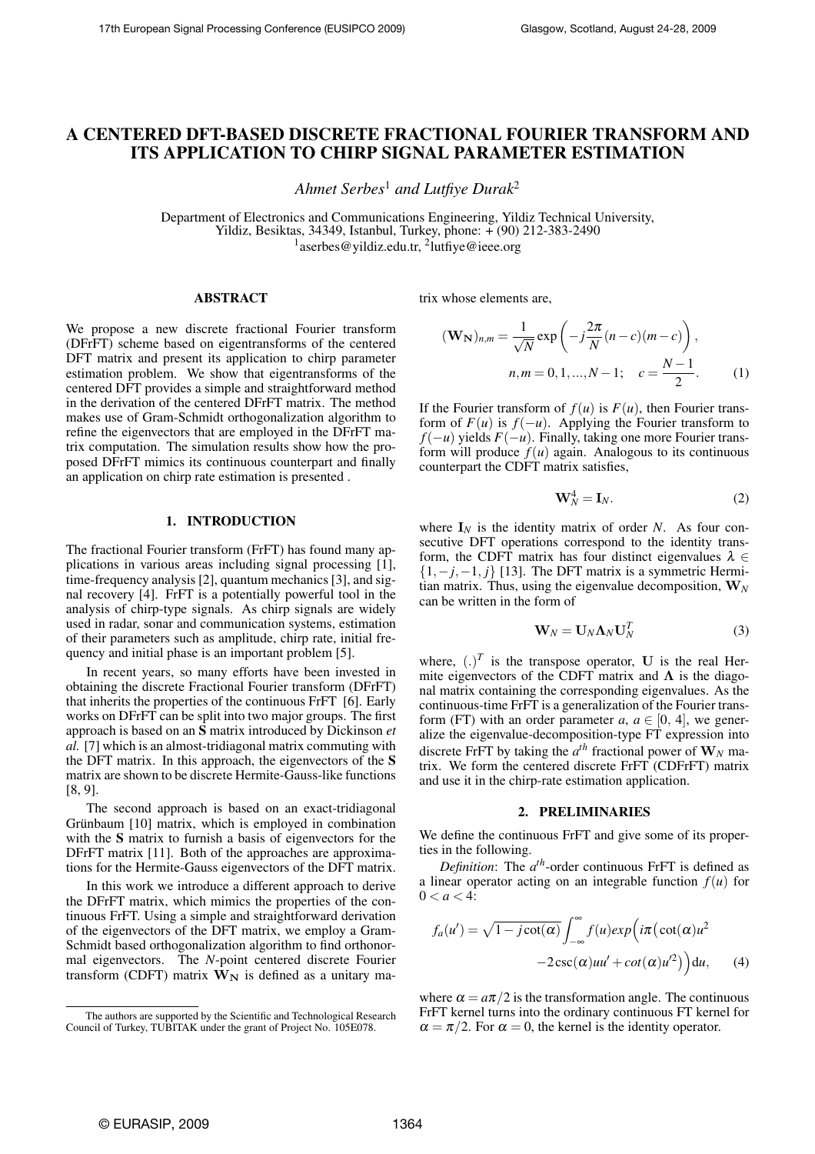# A CENTERED DFT-BASED DISCRETE FRACTIONAL FOURIER TRANSFORM AND ITS APPLICATION TO CHIRP SIGNAL PARAMETER ESTIMATION

*Ahmet Serbes*<sup>1</sup> *and Lutfiye Durak*<sup>2</sup>

Department of Electronics and Communications Engineering, Yildiz Technical University, Yildiz, Besiktas, 34349, Istanbul, Turkey, phone: + (90) 212-383-2490 <sup>1</sup>aserbes@yildiz.edu.tr,<sup>2</sup>lutfiye@ieee.org

## ABSTRACT

We propose a new discrete fractional Fourier transform (DFrFT) scheme based on eigentransforms of the centered DFT matrix and present its application to chirp parameter estimation problem. We show that eigentransforms of the centered DFT provides a simple and straightforward method in the derivation of the centered DFrFT matrix. The method makes use of Gram-Schmidt orthogonalization algorithm to refine the eigenvectors that are employed in the DFrFT matrix computation. The simulation results show how the proposed DFrFT mimics its continuous counterpart and finally an application on chirp rate estimation is presented .

## 1. INTRODUCTION

The fractional Fourier transform (FrFT) has found many applications in various areas including signal processing [1], time-frequency analysis [2], quantum mechanics [3], and signal recovery [4]. FrFT is a potentially powerful tool in the analysis of chirp-type signals. As chirp signals are widely used in radar, sonar and communication systems, estimation of their parameters such as amplitude, chirp rate, initial frequency and initial phase is an important problem [5].

In recent years, so many efforts have been invested in obtaining the discrete Fractional Fourier transform (DFrFT) that inherits the properties of the continuous FrFT [6]. Early works on DFrFT can be split into two major groups. The first approach is based on an S matrix introduced by Dickinson *et al.* [7] which is an almost-tridiagonal matrix commuting with the DFT matrix. In this approach, the eigenvectors of the S matrix are shown to be discrete Hermite-Gauss-like functions [8, 9].

The second approach is based on an exact-tridiagonal Grünbaum [10] matrix, which is employed in combination with the S matrix to furnish a basis of eigenvectors for the DFrFT matrix [11]. Both of the approaches are approximations for the Hermite-Gauss eigenvectors of the DFT matrix.

In this work we introduce a different approach to derive the DFrFT matrix, which mimics the properties of the continuous FrFT. Using a simple and straightforward derivation of the eigenvectors of the DFT matrix, we employ a Gram-Schmidt based orthogonalization algorithm to find orthonormal eigenvectors. The *N*-point centered discrete Fourier transform (CDFT) matrix  $W_N$  is defined as a unitary matrix whose elements are,

$$
(\mathbf{W}_{\mathbf{N}})_{n,m} = \frac{1}{\sqrt{N}} \exp\left(-j\frac{2\pi}{N}(n-c)(m-c)\right),
$$
  
n,m = 0, 1, ..., N - 1;  $c = \frac{N-1}{2}.$  (1)

If the Fourier transform of  $f(u)$  is  $F(u)$ , then Fourier transform of  $F(u)$  is  $f(-u)$ . Applying the Fourier transform to *f*(−*u*) yields *F*(−*u*). Finally, taking one more Fourier transform will produce  $f(u)$  again. Analogous to its continuous counterpart the CDFT matrix satisfies,

$$
\mathbf{W}_N^4 = \mathbf{I}_N. \tag{2}
$$

where  $I_N$  is the identity matrix of order *N*. As four consecutive DFT operations correspond to the identity transform, the CDFT matrix has four distinct eigenvalues  $\lambda \in$ {1,−*j*,−1, *j*} [13]. The DFT matrix is a symmetric Hermitian matrix. Thus, using the eigenvalue decomposition,  $W_N$ can be written in the form of

$$
\mathbf{W}_N = \mathbf{U}_N \mathbf{\Lambda}_N \mathbf{U}_N^T
$$
 (3)

where,  $(.)^T$  is the transpose operator, **U** is the real Hermite eigenvectors of the CDFT matrix and  $\Lambda$  is the diagonal matrix containing the corresponding eigenvalues. As the continuous-time FrFT is a generalization of the Fourier transform (FT) with an order parameter  $a, a \in [0, 4]$ , we generalize the eigenvalue-decomposition-type FT expression into discrete FrFT by taking the  $a^{th}$  fractional power of  $W_N$  matrix. We form the centered discrete FrFT (CDFrFT) matrix and use it in the chirp-rate estimation application.

#### 2. PRELIMINARIES

We define the continuous FrFT and give some of its properties in the following.

*Definition*: The  $a^{th}$ -order continuous FrFT is defined as a linear operator acting on an integrable function  $f(u)$  for  $0 < a < 4$ :

$$
f_a(u') = \sqrt{1 - j \cot(\alpha)} \int_{-\infty}^{\infty} f(u) exp(i\pi(\cot(\alpha)u^2 -2csc(\alpha)uu' + cot(\alpha)u'^2))du,
$$
 (4)

where  $\alpha = a\pi/2$  is the transformation angle. The continuous FrFT kernel turns into the ordinary continuous FT kernel for  $\alpha = \pi/2$ . For  $\alpha = 0$ , the kernel is the identity operator.

The authors are supported by the Scientific and Technological Research Council of Turkey, TUBITAK under the grant of Project No. 105E078.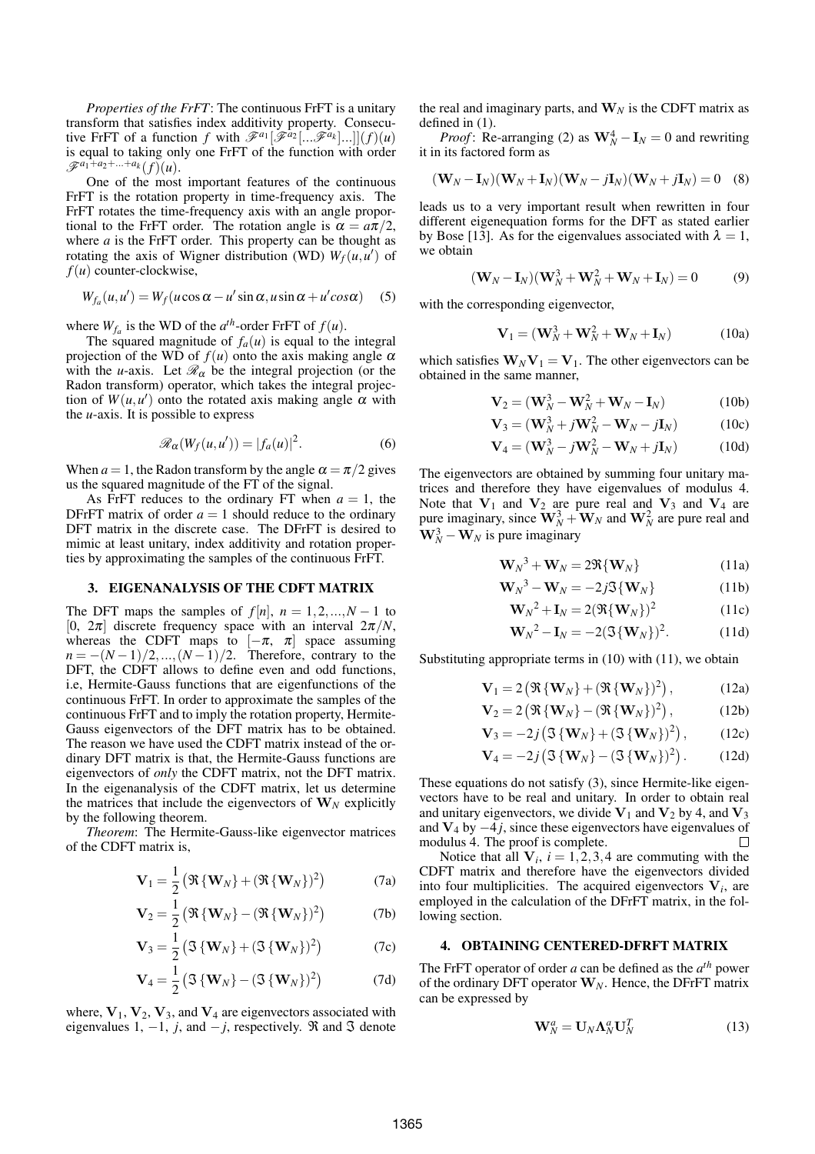*Properties of the FrFT*: The continuous FrFT is a unitary transform that satisfies index additivity property. Consecutive FrFT of a function *f* with  $\mathscr{F}^{a_1}[\mathscr{F}^{a_2}[\dots \mathscr{F}^{a_k}]\dots]$  $(f)(u)$ is equal to taking only one FrFT of the function with order  $\mathscr{F}^{a_1 + a_2 + ... + a_k} (f)(u).$ 

One of the most important features of the continuous FrFT is the rotation property in time-frequency axis. The FrFT rotates the time-frequency axis with an angle proportional to the FrFT order. The rotation angle is  $\alpha = a\pi/2$ , where *a* is the FrFT order. This property can be thought as rotating the axis of Wigner distribution (WD)  $W_f(u, u')$  of *f*(*u*) counter-clockwise,

$$
W_{f_a}(u, u') = W_f(u \cos \alpha - u' \sin \alpha, u \sin \alpha + u' \cos \alpha)
$$
 (5)

where  $W_{f_a}$  is the WD of the  $a^{th}$ -order FrFT of  $f(u)$ .

The squared magnitude of  $f_a(u)$  is equal to the integral projection of the WD of  $f(u)$  onto the axis making angle  $\alpha$ with the *u*-axis. Let  $\mathcal{R}_{\alpha}$  be the integral projection (or the Radon transform) operator, which takes the integral projection of  $W(u, u')$  onto the rotated axis making angle  $\alpha$  with the *u*-axis. It is possible to express

$$
\mathscr{R}_{\alpha}(W_f(u, u')) = |f_a(u)|^2.
$$
 (6)

When  $a = 1$ , the Radon transform by the angle  $\alpha = \pi/2$  gives us the squared magnitude of the FT of the signal.

As FrFT reduces to the ordinary FT when  $a = 1$ , the DFrFT matrix of order  $a = 1$  should reduce to the ordinary DFT matrix in the discrete case. The DFrFT is desired to mimic at least unitary, index additivity and rotation properties by approximating the samples of the continuous FrFT.

#### 3. EIGENANALYSIS OF THE CDFT MATRIX

The DFT maps the samples of  $f[n]$ ,  $n = 1, 2, ..., N - 1$  to [0,  $2\pi$ ] discrete frequency space with an interval  $2\pi/N$ , whereas the CDFT maps to  $[-\pi, \pi]$  space assuming  $n = -(N-1)/2, ..., (N-1)/2$ . Therefore, contrary to the DFT, the CDFT allows to define even and odd functions, i.e, Hermite-Gauss functions that are eigenfunctions of the continuous FrFT. In order to approximate the samples of the continuous FrFT and to imply the rotation property, Hermite-Gauss eigenvectors of the DFT matrix has to be obtained. The reason we have used the CDFT matrix instead of the ordinary DFT matrix is that, the Hermite-Gauss functions are eigenvectors of *only* the CDFT matrix, not the DFT matrix. In the eigenanalysis of the CDFT matrix, let us determine the matrices that include the eigenvectors of  $W_N$  explicitly by the following theorem.

*Theorem*: The Hermite-Gauss-like eigenvector matrices of the CDFT matrix is,

$$
\mathbf{V}_1 = \frac{1}{2} \left( \Re\left\{ \mathbf{W}_N \right\} + (\Re\left\{ \mathbf{W}_N \right\})^2 \right) \tag{7a}
$$

$$
\mathbf{V}_2 = \frac{1}{2} \left( \Re\left\{ \mathbf{W}_N \right\} - (\Re\left\{ \mathbf{W}_N \right\})^2 \right) \tag{7b}
$$

$$
\mathbf{V}_3 = \frac{1}{2} \left( \mathfrak{J} \left\{ \mathbf{W}_N \right\} + \left( \mathfrak{J} \left\{ \mathbf{W}_N \right\} \right)^2 \right) \tag{7c}
$$

$$
\mathbf{V}_4 = \frac{1}{2} \left( \mathfrak{J} \left\{ \mathbf{W}_N \right\} - \left( \mathfrak{J} \left\{ \mathbf{W}_N \right\} \right)^2 \right) \tag{7d}
$$

where,  $V_1$ ,  $V_2$ ,  $V_3$ , and  $V_4$  are eigenvectors associated with eigenvalues 1,  $-1$ , *j*, and  $-j$ , respectively.  $\Re$  and  $\Im$  denote the real and imaginary parts, and  $W_N$  is the CDFT matrix as defined in (1).

*Proof*: Re-arranging (2) as  $W_N^4 - I_N = 0$  and rewriting it in its factored form as

$$
(\mathbf{W}_N - \mathbf{I}_N)(\mathbf{W}_N + \mathbf{I}_N)(\mathbf{W}_N - j\mathbf{I}_N)(\mathbf{W}_N + j\mathbf{I}_N) = 0
$$
 (8)

leads us to a very important result when rewritten in four different eigenequation forms for the DFT as stated earlier by Bose [13]. As for the eigenvalues associated with  $\lambda = 1$ , we obtain

$$
(\mathbf{W}_N - \mathbf{I}_N)(\mathbf{W}_N^3 + \mathbf{W}_N^2 + \mathbf{W}_N + \mathbf{I}_N) = 0
$$
 (9)

with the corresponding eigenvector,

$$
\mathbf{V}_1 = (\mathbf{W}_N^3 + \mathbf{W}_N^2 + \mathbf{W}_N + \mathbf{I}_N)
$$
 (10a)

which satisfies  $W_N V_1 = V_1$ . The other eigenvectors can be obtained in the same manner,

$$
\mathbf{V}_2 = (\mathbf{W}_N^3 - \mathbf{W}_N^2 + \mathbf{W}_N - \mathbf{I}_N)
$$
 (10b)

$$
\mathbf{V}_3 = (\mathbf{W}_N^3 + j\mathbf{W}_N^2 - \mathbf{W}_N - j\mathbf{I}_N)
$$
 (10c)

$$
\mathbf{V}_4 = (\mathbf{W}_N^3 - j\mathbf{W}_N^2 - \mathbf{W}_N + j\mathbf{I}_N)
$$
 (10d)

The eigenvectors are obtained by summing four unitary matrices and therefore they have eigenvalues of modulus 4. Note that  $V_1$  and  $V_2$  are pure real and  $V_3$  and  $V_4$  are pure imaginary, since  $\mathbf{W}_N^3 + \mathbf{W}_N$  and  $\mathbf{W}_N^2$  are pure real and  $W_N^3 - W_N$  is pure imaginary

$$
\mathbf{W}_N^3 + \mathbf{W}_N = 2\Re\{\mathbf{W}_N\} \tag{11a}
$$

$$
\mathbf{W}_N^3 - \mathbf{W}_N = -2j\mathfrak{I}\{\mathbf{W}_N\} \tag{11b}
$$

$$
\mathbf{W}_N^2 + \mathbf{I}_N = 2(\Re{\{\mathbf{W}_N\}})^2
$$
 (11c)

$$
\mathbf{W}_N^2 - \mathbf{I}_N = -2(\mathfrak{J}\{\mathbf{W}_N\})^2. \tag{11d}
$$

Substituting appropriate terms in (10) with (11), we obtain

$$
\mathbf{V}_1 = 2 \left( \Re\left\{ \mathbf{W}_N \right\} + (\Re\left\{ \mathbf{W}_N \right\})^2 \right), \tag{12a}
$$

$$
\mathbf{V}_2 = 2 \left( \Re\left\{ \mathbf{W}_N \right\} - \left( \Re\left\{ \mathbf{W}_N \right\} \right)^2 \right), \tag{12b}
$$

$$
\mathbf{V}_3 = -2j(\mathfrak{I}\{\mathbf{W}_N\} + (\mathfrak{I}\{\mathbf{W}_N\})^2), \qquad (12c)
$$

$$
\mathbf{V}_4 = -2j\left(\mathfrak{I}\left\{\mathbf{W}_N\right\} - \left(\mathfrak{I}\left\{\mathbf{W}_N\right\}\right)^2\right). \tag{12d}
$$

These equations do not satisfy (3), since Hermite-like eigenvectors have to be real and unitary. In order to obtain real and unitary eigenvectors, we divide  $V_1$  and  $V_2$  by 4, and  $V_3$ and V<sup>4</sup> by −4 *j*, since these eigenvectors have eigenvalues of modulus 4. The proof is complete.  $\Box$ 

Notice that all  $V_i$ ,  $i = 1, 2, 3, 4$  are commuting with the CDFT matrix and therefore have the eigenvectors divided into four multiplicities. The acquired eigenvectors  $V_i$ , are employed in the calculation of the DFrFT matrix, in the following section.

### 4. OBTAINING CENTERED-DFRFT MATRIX

The FrFT operator of order *a* can be defined as the *a th* power of the ordinary DFT operator  $W_N$ . Hence, the DFrFT matrix can be expressed by

$$
\mathbf{W}_N^a = \mathbf{U}_N \mathbf{\Lambda}_N^a \mathbf{U}_N^T
$$
 (13)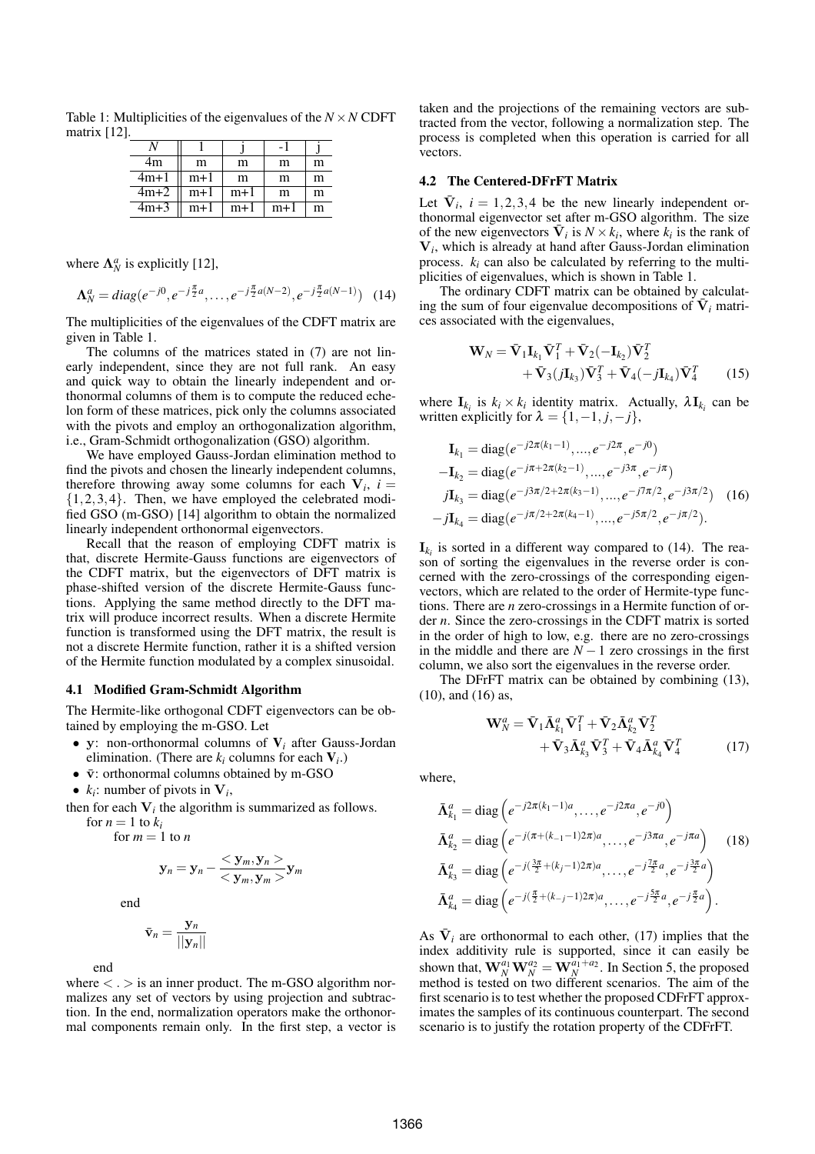Table 1: Multiplicities of the eigenvalues of the  $N \times N$  CDFT matrix [12].

|        |       |       | ÷     |   |
|--------|-------|-------|-------|---|
| 4m     | m     | m     | m     | m |
| $4m+1$ | $m+1$ | m     | m     | m |
| $4m+2$ | $m+1$ | $m+1$ | m     | m |
| $4m+3$ | $m+1$ | $m+1$ | $m+1$ | m |

where  $\Lambda_N^a$  is explicitly [12],

$$
\Lambda_N^a = diag(e^{-j0}, e^{-j\frac{\pi}{2}a}, \dots, e^{-j\frac{\pi}{2}a(N-2)}, e^{-j\frac{\pi}{2}a(N-1)}) \quad (14)
$$

The multiplicities of the eigenvalues of the CDFT matrix are given in Table 1.

The columns of the matrices stated in (7) are not linearly independent, since they are not full rank. An easy and quick way to obtain the linearly independent and orthonormal columns of them is to compute the reduced echelon form of these matrices, pick only the columns associated with the pivots and employ an orthogonalization algorithm, i.e., Gram-Schmidt orthogonalization (GSO) algorithm.

We have employed Gauss-Jordan elimination method to find the pivots and chosen the linearly independent columns, therefore throwing away some columns for each  $V_i$ ,  $i =$  $\{1,2,3,4\}$ . Then, we have employed the celebrated modified GSO (m-GSO) [14] algorithm to obtain the normalized linearly independent orthonormal eigenvectors.

Recall that the reason of employing CDFT matrix is that, discrete Hermite-Gauss functions are eigenvectors of the CDFT matrix, but the eigenvectors of DFT matrix is phase-shifted version of the discrete Hermite-Gauss functions. Applying the same method directly to the DFT matrix will produce incorrect results. When a discrete Hermite function is transformed using the DFT matrix, the result is not a discrete Hermite function, rather it is a shifted version of the Hermite function modulated by a complex sinusoidal.

#### 4.1 Modified Gram-Schmidt Algorithm

The Hermite-like orthogonal CDFT eigenvectors can be obtained by employing the m-GSO. Let

- y: non-orthonormal columns of V*<sup>i</sup>* after Gauss-Jordan elimination. (There are  $k_i$  columns for each  $V_i$ .)
- $\bar{v}$ : orthonormal columns obtained by m-GSO
- $k_i$ : number of pivots in  $V_i$ ,

then for each  $V_i$  the algorithm is summarized as follows.

for  $n = 1$  to  $k_i$ for  $m = 1$  to  $n$ 

$$
\mathbf{y}_n = \mathbf{y}_n - \frac{<\mathbf{y}_m, \mathbf{y}_n >}{<\mathbf{y}_m, \mathbf{y}_m >} \mathbf{y}_m
$$

end

$$
\bar{\mathbf{v}}_n = \frac{\mathbf{y}_n}{||\mathbf{y}_n||}
$$

end

where  $\langle \cdot \rangle$  is an inner product. The m-GSO algorithm normalizes any set of vectors by using projection and subtraction. In the end, normalization operators make the orthonormal components remain only. In the first step, a vector is taken and the projections of the remaining vectors are subtracted from the vector, following a normalization step. The process is completed when this operation is carried for all vectors.

## 4.2 The Centered-DFrFT Matrix

Let  $\bar{V}_i$ ,  $i = 1, 2, 3, 4$  be the new linearly independent orthonormal eigenvector set after m-GSO algorithm. The size of the new eigenvectors  $\overline{V}_i$  is  $N \times k_i$ , where  $k_i$  is the rank of V*i* , which is already at hand after Gauss-Jordan elimination process.  $k_i$  can also be calculated by referring to the multiplicities of eigenvalues, which is shown in Table 1.

The ordinary CDFT matrix can be obtained by calculating the sum of four eigenvalue decompositions of  $\overline{V}_i$  matrices associated with the eigenvalues,

$$
\mathbf{W}_{N} = \bar{\mathbf{V}}_{1}\mathbf{I}_{k_{1}}\bar{\mathbf{V}}_{1}^{T} + \bar{\mathbf{V}}_{2}(-\mathbf{I}_{k_{2}})\bar{\mathbf{V}}_{2}^{T}+\bar{\mathbf{V}}_{3}(j\mathbf{I}_{k_{3}})\bar{\mathbf{V}}_{3}^{T} + \bar{\mathbf{V}}_{4}(-j\mathbf{I}_{k_{4}})\bar{\mathbf{V}}_{4}^{T}
$$
 (15)

where  $\mathbf{I}_{k_i}$  is  $k_i \times k_i$  identity matrix. Actually,  $\lambda \mathbf{I}_{k_i}$  can be written explicitly for  $\lambda = \{1, -1, j, -j\}$ ,

$$
\mathbf{I}_{k_1} = \text{diag}(e^{-j2\pi(k_1 - 1)}, \dots, e^{-j2\pi}, e^{-j0})
$$
  
\n
$$
-\mathbf{I}_{k_2} = \text{diag}(e^{-j\pi + 2\pi(k_2 - 1)}, \dots, e^{-j3\pi}, e^{-j\pi})
$$
  
\n
$$
j\mathbf{I}_{k_3} = \text{diag}(e^{-j3\pi/2 + 2\pi(k_3 - 1)}, \dots, e^{-j7\pi/2}, e^{-j3\pi/2})
$$
 (16)  
\n
$$
-j\mathbf{I}_{k_4} = \text{diag}(e^{-j\pi/2 + 2\pi(k_4 - 1)}, \dots, e^{-j5\pi/2}, e^{-j\pi/2}).
$$

 $\mathbf{I}_{k_i}$  is sorted in a different way compared to (14). The reason of sorting the eigenvalues in the reverse order is concerned with the zero-crossings of the corresponding eigenvectors, which are related to the order of Hermite-type functions. There are *n* zero-crossings in a Hermite function of order *n*. Since the zero-crossings in the CDFT matrix is sorted in the order of high to low, e.g. there are no zero-crossings in the middle and there are  $N - 1$  zero crossings in the first column, we also sort the eigenvalues in the reverse order.

The DFrFT matrix can be obtained by combining (13), (10), and (16) as,

$$
\mathbf{W}_{N}^{a} = \bar{\mathbf{V}}_{1} \bar{\mathbf{\Lambda}}_{k_{1}}^{a} \bar{\mathbf{V}}_{1}^{T} + \bar{\mathbf{V}}_{2} \bar{\mathbf{\Lambda}}_{k_{2}}^{a} \bar{\mathbf{V}}_{2}^{T} + \bar{\mathbf{V}}_{3} \bar{\mathbf{\Lambda}}_{k_{3}}^{a} \bar{\mathbf{V}}_{3}^{T} + \bar{\mathbf{V}}_{4} \bar{\mathbf{\Lambda}}_{k_{4}}^{a} \bar{\mathbf{V}}_{4}^{T}
$$
(17)

where,

$$
\bar{\mathbf{\Lambda}}_{k_1}^a = \text{diag}\left(e^{-j2\pi(k_1-1)a}, \dots, e^{-j2\pi a}, e^{-j0}\right)
$$
\n
$$
\bar{\mathbf{\Lambda}}_{k_2}^a = \text{diag}\left(e^{-j(\pi+(k_{-1}-1)2\pi)a}, \dots, e^{-j3\pi a}, e^{-j\pi a}\right) \quad (18)
$$
\n
$$
\bar{\mathbf{\Lambda}}_{k_3}^a = \text{diag}\left(e^{-j(\frac{3\pi}{2}+(k_j-1)2\pi)a}, \dots, e^{-j\frac{7\pi}{2}a}, e^{-j\frac{3\pi}{2}a}\right)
$$
\n
$$
\bar{\mathbf{\Lambda}}_{k_4}^a = \text{diag}\left(e^{-j(\frac{\pi}{2}+(k_{-j}-1)2\pi)a}, \dots, e^{-j\frac{5\pi}{2}a}, e^{-j\frac{\pi}{2}a}\right).
$$

As  $\bar{V}_i$  are orthonormal to each other, (17) implies that the index additivity rule is supported, since it can easily be shown that,  $\mathbf{W}_{N}^{a_1} \mathbf{W}_{N}^{a_2} = \mathbf{W}_{N}^{a_1 + a_2}$ . In Section 5, the proposed method is tested on two different scenarios. The aim of the first scenario is to test whether the proposed CDFrFT approximates the samples of its continuous counterpart. The second scenario is to justify the rotation property of the CDFrFT.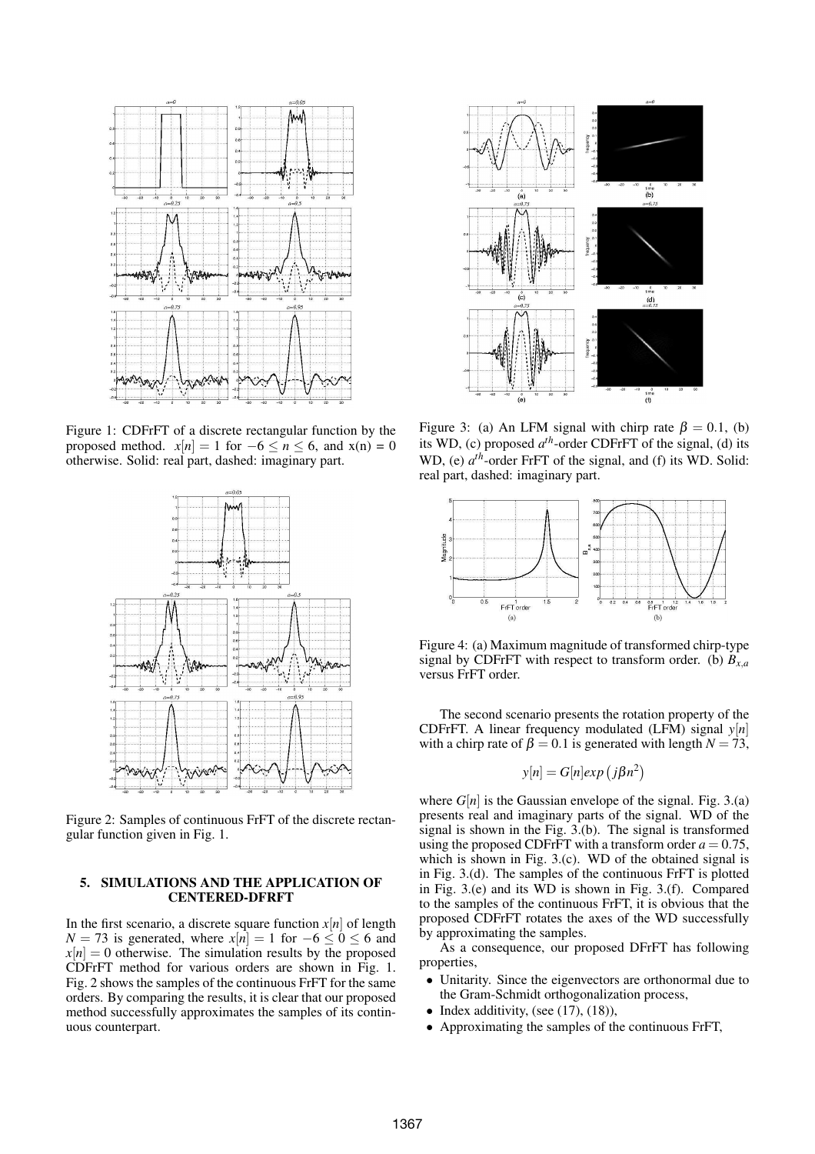

Figure 1: CDFrFT of a discrete rectangular function by the proposed method.  $x[n] = 1$  for  $-6 \le n \le 6$ , and  $x(n) = 0$ otherwise. Solid: real part, dashed: imaginary part.



Figure 2: Samples of continuous FrFT of the discrete rectangular function given in Fig. 1.

# 5. SIMULATIONS AND THE APPLICATION OF CENTERED-DFRFT

In the first scenario, a discrete square function  $x[n]$  of length *N* = 73 is generated, where  $x[n] = 1$  for  $-6 < 0 < 6$  and  $x[n] = 0$  otherwise. The simulation results by the proposed CDFrFT method for various orders are shown in Fig. 1. Fig. 2 shows the samples of the continuous FrFT for the same orders. By comparing the results, it is clear that our proposed method successfully approximates the samples of its continuous counterpart.



Figure 3: (a) An LFM signal with chirp rate  $\beta = 0.1$ , (b) its WD, (c) proposed  $a^{th}$ -order CDFrFT of the signal, (d) its WD, (e)  $a^{th}$ -order FrFT of the signal, and (f) its WD. Solid: real part, dashed: imaginary part.



Figure 4: (a) Maximum magnitude of transformed chirp-type signal by CDFrFT with respect to transform order. (b)  $B_{x,a}$ versus FrFT order.

The second scenario presents the rotation property of the CDFrFT. A linear frequency modulated (LFM) signal *y*[*n*] with a chirp rate of  $\beta = 0.1$  is generated with length  $N = 73$ ,

$$
y[n] = G[n]exp(j\beta n^2)
$$

where  $G[n]$  is the Gaussian envelope of the signal. Fig. 3.(a) presents real and imaginary parts of the signal. WD of the signal is shown in the Fig. 3.(b). The signal is transformed using the proposed CDFrFT with a transform order  $a = 0.75$ , which is shown in Fig. 3.(c). WD of the obtained signal is in Fig. 3.(d). The samples of the continuous FrFT is plotted in Fig. 3.(e) and its WD is shown in Fig. 3.(f). Compared to the samples of the continuous FrFT, it is obvious that the proposed CDFrFT rotates the axes of the WD successfully by approximating the samples.

As a consequence, our proposed DFrFT has following properties,

- Unitarity. Since the eigenvectors are orthonormal due to the Gram-Schmidt orthogonalization process,
- Index additivity, (see  $(17)$ ,  $(18)$ ),
- Approximating the samples of the continuous FrFT,